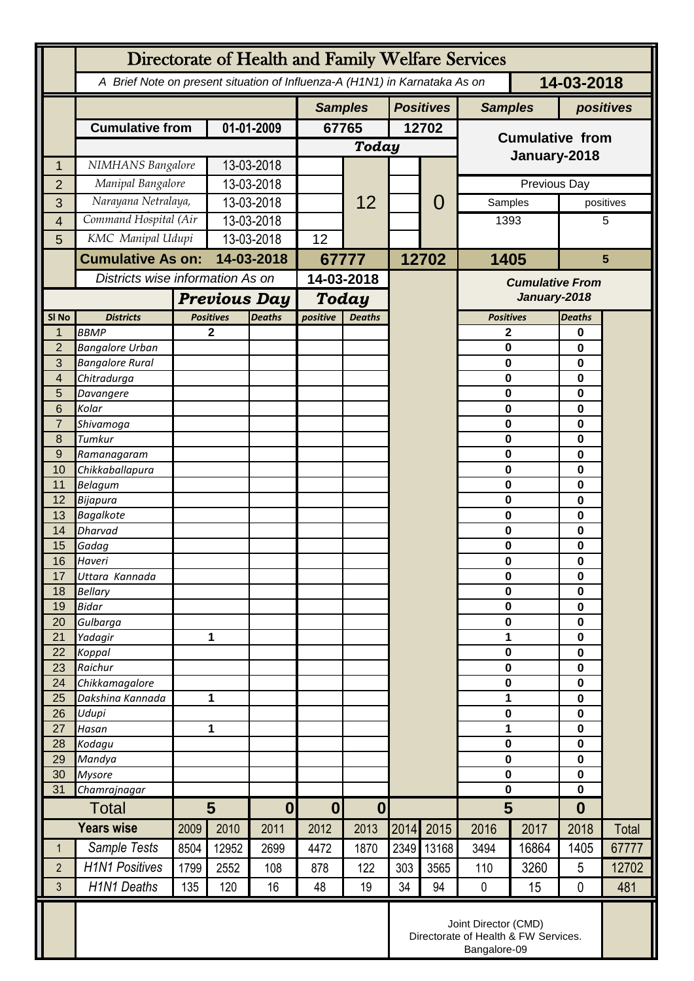|                  | Directorate of Health and Family Welfare Services                                        |                                                      |                  |               |                                      |      |                  |                        |                        |        |                  |       |
|------------------|------------------------------------------------------------------------------------------|------------------------------------------------------|------------------|---------------|--------------------------------------|------|------------------|------------------------|------------------------|--------|------------------|-------|
|                  | 14-03-2018<br>A Brief Note on present situation of Influenza-A (H1N1) in Karnataka As on |                                                      |                  |               |                                      |      |                  |                        |                        |        |                  |       |
|                  |                                                                                          |                                                      |                  |               | <b>Samples</b>                       |      | <b>Positives</b> |                        | <b>Samples</b>         |        | positives        |       |
|                  | <b>Cumulative from</b>                                                                   |                                                      | 01-01-2009       |               | 67765                                |      | 12702            |                        |                        |        |                  |       |
|                  |                                                                                          |                                                      |                  |               | <b>Today</b>                         |      |                  |                        | <b>Cumulative from</b> |        |                  |       |
| 1                | NIMHANS Bangalore                                                                        |                                                      | 13-03-2018       |               |                                      |      |                  |                        | January-2018           |        |                  |       |
| $\overline{2}$   | Manipal Bangalore                                                                        |                                                      | 13-03-2018       |               |                                      | 12   |                  |                        | Previous Day           |        |                  |       |
| 3                | Narayana Netralaya,                                                                      |                                                      | 13-03-2018       |               |                                      |      |                  | $\overline{0}$         | Samples                |        | positives        |       |
| $\overline{4}$   | Command Hospital (Air                                                                    |                                                      | 13-03-2018       |               |                                      |      |                  |                        | 1393                   |        |                  | 5     |
| 5                | KMC Manipal Udupi                                                                        |                                                      | 13-03-2018       |               | 12                                   |      |                  |                        |                        |        |                  |       |
|                  | <b>Cumulative As on:</b>                                                                 |                                                      | 14-03-2018       |               | 67777                                |      | 12702            |                        | 1405                   |        | $5\phantom{1}$   |       |
|                  |                                                                                          | Districts wise information As on                     |                  | 14-03-2018    |                                      |      |                  | <b>Cumulative From</b> |                        |        |                  |       |
|                  |                                                                                          | <b>Previous Day</b>                                  |                  |               | <b>Today</b>                         |      |                  | January-2018           |                        |        |                  |       |
| SI <sub>No</sub> | <b>Districts</b>                                                                         |                                                      | <b>Positives</b> | <b>Deaths</b> | positive<br><b>Deaths</b>            |      |                  |                        | <b>Positives</b>       |        | <b>Deaths</b>    |       |
| 1                | <b>BBMP</b>                                                                              |                                                      | 2                |               |                                      |      |                  |                        | 2                      |        | 0                |       |
| $\overline{2}$   | <b>Bangalore Urban</b>                                                                   |                                                      |                  |               |                                      |      |                  |                        | 0                      |        | 0                |       |
| 3                | <b>Bangalore Rural</b>                                                                   |                                                      |                  |               |                                      |      |                  |                        | 0                      |        | 0                |       |
| 4<br>5           | Chitradurga<br>Davangere                                                                 |                                                      |                  |               |                                      |      |                  |                        | 0<br>0                 |        | 0<br>0           |       |
| 6                | Kolar                                                                                    |                                                      |                  |               |                                      |      |                  |                        | 0                      |        | 0                |       |
| $\overline{7}$   | Shivamoga                                                                                |                                                      |                  |               |                                      |      |                  |                        | 0                      |        | 0                |       |
| 8                | Tumkur                                                                                   |                                                      |                  |               |                                      |      |                  |                        | 0                      |        | 0                |       |
| 9                | Ramanagaram                                                                              |                                                      |                  |               |                                      |      |                  |                        | 0                      |        | 0<br>0           |       |
| 10<br>11         | Chikkaballapura<br><b>Belagum</b>                                                        |                                                      |                  |               |                                      |      |                  |                        |                        | 0<br>0 |                  |       |
| 12               | Bijapura                                                                                 |                                                      |                  |               |                                      |      |                  |                        | 0                      |        | 0<br>0           |       |
| 13               | <b>Bagalkote</b>                                                                         |                                                      |                  |               |                                      |      |                  |                        | 0                      | 0      |                  |       |
| 14               | Dharvad                                                                                  |                                                      |                  |               |                                      |      |                  |                        | $\mathbf 0$            |        | $\mathbf 0$      |       |
| 15               | Gadag                                                                                    |                                                      |                  |               |                                      |      |                  |                        | 0                      |        | 0                |       |
| 16<br>17         | Haveri<br>Uttara Kannada                                                                 |                                                      |                  |               |                                      |      |                  |                        | 0<br>0                 |        | 0<br>0           |       |
| 18               | <b>Bellary</b>                                                                           |                                                      |                  |               |                                      |      |                  |                        | $\mathbf 0$            |        | 0                |       |
| 19               | <b>Bidar</b>                                                                             |                                                      |                  |               |                                      |      |                  |                        | 0                      |        | $\mathbf 0$      |       |
| 20               | Gulbarga                                                                                 |                                                      |                  |               |                                      |      |                  |                        | 0                      |        | 0                |       |
| 21               | Yadagir                                                                                  |                                                      | 1                |               |                                      |      |                  |                        | 1<br>$\mathbf 0$       |        | 0                |       |
| 22<br>23         | Koppal<br>Raichur                                                                        |                                                      |                  |               |                                      |      |                  |                        | 0                      |        | 0<br>0           |       |
| 24               | Chikkamagalore                                                                           |                                                      |                  |               |                                      |      |                  |                        | 0                      |        | 0                |       |
| 25               | Dakshina Kannada                                                                         | 1                                                    |                  |               |                                      |      |                  |                        | 1                      |        | $\mathbf 0$      |       |
| 26               | Udupi                                                                                    |                                                      |                  |               |                                      |      |                  |                        | 0                      |        | 0                |       |
| 27               | Hasan                                                                                    | 1                                                    |                  |               |                                      |      |                  |                        | 1<br>$\mathbf 0$       |        | 0                |       |
| 28<br>29         | Kodagu<br>Mandya                                                                         |                                                      |                  |               |                                      |      |                  |                        | $\mathbf 0$            |        | 0<br>0           |       |
| 30               | <b>Mysore</b>                                                                            |                                                      |                  |               |                                      |      |                  |                        | 0                      |        | $\mathbf 0$      |       |
| 31               | Chamrajnagar                                                                             |                                                      |                  |               |                                      |      |                  |                        | $\mathbf 0$            |        | 0                |       |
| <b>Total</b>     |                                                                                          | $5\phantom{1}$                                       |                  | $\bf{0}$      | $\boldsymbol{0}$<br>$\boldsymbol{0}$ |      |                  |                        | 5                      |        | $\boldsymbol{0}$ |       |
|                  | <b>Years wise</b>                                                                        | 2009                                                 | 2010             | 2011          | 2012                                 | 2013 | 2014             | 2015                   | 2016                   | 2017   | 2018             | Total |
| $\mathbf 1$      | Sample Tests                                                                             | 8504                                                 | 12952            | 2699          | 4472                                 | 1870 | 2349             | 13168                  | 3494                   | 16864  | 1405             | 67777 |
| $\overline{2}$   | <b>H1N1 Positives</b>                                                                    | 1799                                                 | 2552             | 108           | 878                                  | 122  | 303              | 3565                   | 110                    | 3260   | 5                | 12702 |
| 3                | <b>H1N1 Deaths</b>                                                                       | 135                                                  | 120              | 16            | 48                                   | 19   | 34               | 94                     | $\pmb{0}$              | 15     | 0                | 481   |
|                  | Joint Director (CMD)                                                                     |                                                      |                  |               |                                      |      |                  |                        |                        |        |                  |       |
|                  |                                                                                          | Directorate of Health & FW Services.<br>Bangalore-09 |                  |               |                                      |      |                  |                        |                        |        |                  |       |